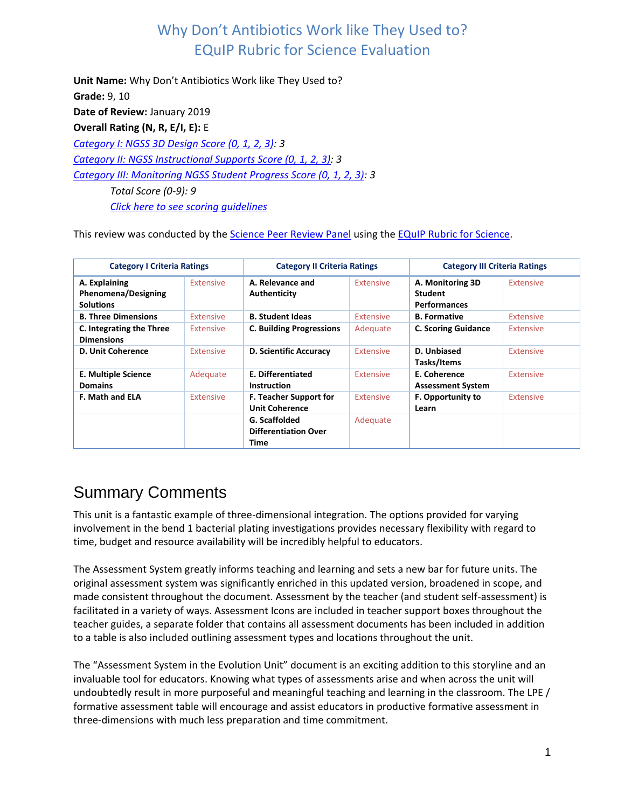**Unit Name:** Why Don't Antibiotics Work like They Used to? **Grade:** 9, 10 **Date of Review:** January 2019 **Overall Rating (N, R, E/I, E):** E *[Category I: NGSS 3D Design Score \(0, 1, 2, 3\):](#page-0-0) 3 [Category II: NGSS Instructional Supports Score \(0, 1, 2, 3\):](#page-7-0) 3 [Category III: Monitoring NGSS Student Progress Score \(0, 1, 2, 3\):](#page-16-0) 3 Total Score (0-9): 9 [Click here to see scoring guidelines](#page-21-0)*

This review was conducted by the [Science Peer Review Panel](https://nextgenscience.org/peer-review-panel/peer-review-panel-science) using the [EQuIP Rubric for Science.](https://nextgenscience.org/sites/default/files/EQuIPRubricforSciencev3.pdf)

| <b>Category I Criteria Ratings</b>                              |                  | <b>Category II Criteria Ratings</b>                  |                  | <b>Category III Criteria Ratings</b>                      |                  |
|-----------------------------------------------------------------|------------------|------------------------------------------------------|------------------|-----------------------------------------------------------|------------------|
| A. Explaining<br><b>Phenomena/Designing</b><br><b>Solutions</b> | Extensive        | A. Relevance and<br>Authenticity                     | Extensive        | A. Monitoring 3D<br><b>Student</b><br><b>Performances</b> | <b>Extensive</b> |
| <b>B. Three Dimensions</b>                                      | <b>Extensive</b> | <b>B. Student Ideas</b>                              | <b>Extensive</b> | <b>B.</b> Formative                                       | <b>Extensive</b> |
| C. Integrating the Three<br><b>Dimensions</b>                   | <b>Extensive</b> | <b>C. Building Progressions</b>                      | Adequate         | <b>C. Scoring Guidance</b>                                | <b>Extensive</b> |
| D. Unit Coherence                                               | Extensive        | D. Scientific Accuracy                               | Extensive        | D. Unbiased<br>Tasks/Items                                | <b>Extensive</b> |
| <b>E. Multiple Science</b><br><b>Domains</b>                    | Adequate         | E. Differentiated<br><b>Instruction</b>              | Extensive        | E. Coherence<br><b>Assessment System</b>                  | <b>Extensive</b> |
| <b>F. Math and ELA</b>                                          | Extensive        | F. Teacher Support for<br><b>Unit Coherence</b>      | <b>Extensive</b> | <b>F. Opportunity to</b><br>Learn                         | <b>Extensive</b> |
|                                                                 |                  | G. Scaffolded<br><b>Differentiation Over</b><br>Time | Adequate         |                                                           |                  |

# Summary Comments

<span id="page-0-0"></span>This unit is a fantastic example of three-dimensional integration. The options provided for varying involvement in the bend 1 bacterial plating investigations provides necessary flexibility with regard to time, budget and resource availability will be incredibly helpful to educators.

The Assessment System greatly informs teaching and learning and sets a new bar for future units. The original assessment system was significantly enriched in this updated version, broadened in scope, and made consistent throughout the document. Assessment by the teacher (and student self-assessment) is facilitated in a variety of ways. Assessment Icons are included in teacher support boxes throughout the teacher guides, a separate folder that contains all assessment documents has been included in addition to a table is also included outlining assessment types and locations throughout the unit.

The "Assessment System in the Evolution Unit" document is an exciting addition to this storyline and an invaluable tool for educators. Knowing what types of assessments arise and when across the unit will undoubtedly result in more purposeful and meaningful teaching and learning in the classroom. The LPE / formative assessment table will encourage and assist educators in productive formative assessment in three-dimensions with much less preparation and time commitment.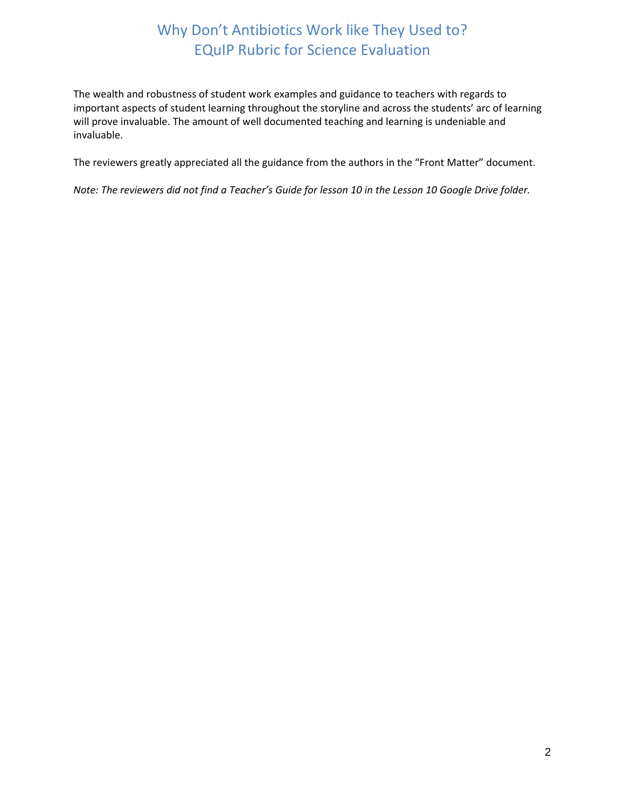The wealth and robustness of student work examples and guidance to teachers with regards to important aspects of student learning throughout the storyline and across the students' arc of learning will prove invaluable. The amount of well documented teaching and learning is undeniable and invaluable.

The reviewers greatly appreciated all the guidance from the authors in the "Front Matter" document.

*Note: The reviewers did not find a Teacher's Guide for lesson 10 in the Lesson 10 Google Drive folder.*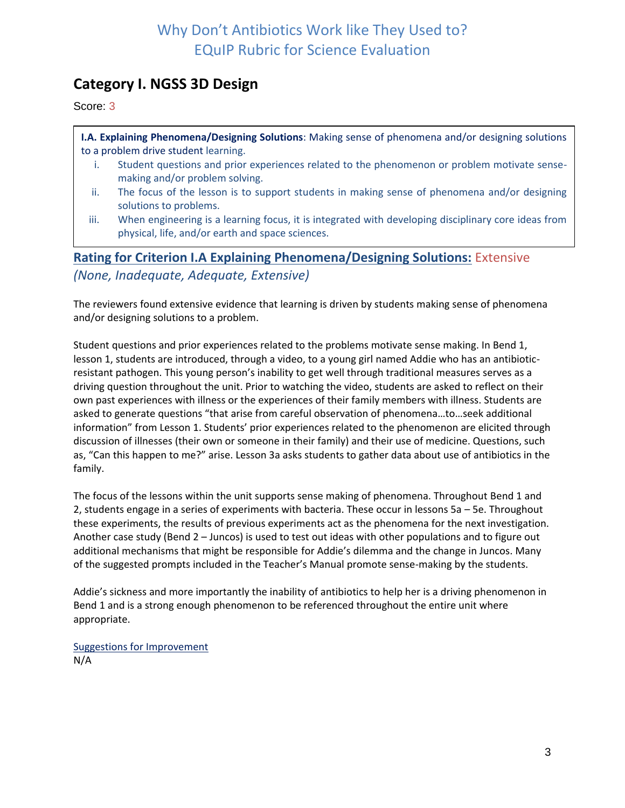## **Category I. NGSS 3D Design**

Score: 3

**I.A. Explaining Phenomena/Designing Solutions**: Making sense of phenomena and/or designing solutions to a problem drive student learning.

- i. Student questions and prior experiences related to the phenomenon or problem motivate sensemaking and/or problem solving.
- ii. The focus of the lesson is to support students in making sense of phenomena and/or designing solutions to problems.
- iii. When engineering is a learning focus, it is integrated with developing disciplinary core ideas from physical, life, and/or earth and space sciences.

**Rating for Criterion I.A Explaining Phenomena/Designing Solutions:** Extensive *(None, Inadequate, Adequate, Extensive)*

The reviewers found extensive evidence that learning is driven by students making sense of phenomena and/or designing solutions to a problem.

Student questions and prior experiences related to the problems motivate sense making. In Bend 1, lesson 1, students are introduced, through a video, to a young girl named Addie who has an antibioticresistant pathogen. This young person's inability to get well through traditional measures serves as a driving question throughout the unit. Prior to watching the video, students are asked to reflect on their own past experiences with illness or the experiences of their family members with illness. Students are asked to generate questions "that arise from careful observation of phenomena…to…seek additional information" from Lesson 1. Students' prior experiences related to the phenomenon are elicited through discussion of illnesses (their own or someone in their family) and their use of medicine. Questions, such as, "Can this happen to me?" arise. Lesson 3a asks students to gather data about use of antibiotics in the family.

The focus of the lessons within the unit supports sense making of phenomena. Throughout Bend 1 and 2, students engage in a series of experiments with bacteria. These occur in lessons 5a – 5e. Throughout these experiments, the results of previous experiments act as the phenomena for the next investigation. Another case study (Bend 2 – Juncos) is used to test out ideas with other populations and to figure out additional mechanisms that might be responsible for Addie's dilemma and the change in Juncos. Many of the suggested prompts included in the Teacher's Manual promote sense-making by the students.

Addie's sickness and more importantly the inability of antibiotics to help her is a driving phenomenon in Bend 1 and is a strong enough phenomenon to be referenced throughout the entire unit where appropriate.

Suggestions for Improvement N/A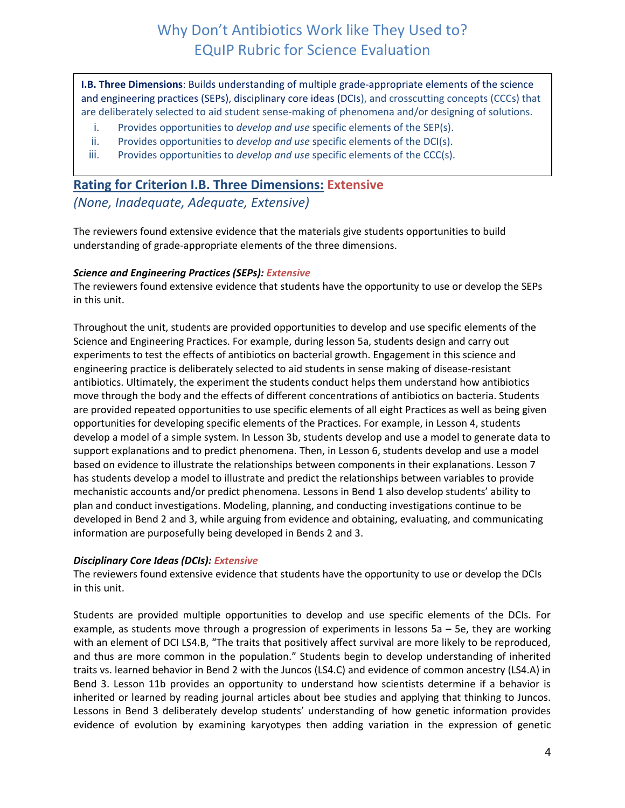**I.B. Three Dimensions**: Builds understanding of multiple grade-appropriate elements of the science and engineering practices (SEPs), disciplinary core ideas (DCIs), and crosscutting concepts (CCCs) that are deliberately selected to aid student sense-making of phenomena and/or designing of solutions.

- i. Provides opportunities to *develop and use* specific elements of the SEP(s).
- ii. Provides opportunities to *develop and use* specific elements of the DCI(s).
- iii. Provides opportunities to *develop and use* specific elements of the CCC(s).

### **Rating for Criterion I.B. Three Dimensions: Extensive**

*(None, Inadequate, Adequate, Extensive)*

The reviewers found extensive evidence that the materials give students opportunities to build understanding of grade-appropriate elements of the three dimensions.

### *Science and Engineering Practices (SEPs): Extensive*

The reviewers found extensive evidence that students have the opportunity to use or develop the SEPs in this unit.

Throughout the unit, students are provided opportunities to develop and use specific elements of the Science and Engineering Practices. For example, during lesson 5a, students design and carry out experiments to test the effects of antibiotics on bacterial growth. Engagement in this science and engineering practice is deliberately selected to aid students in sense making of disease-resistant antibiotics. Ultimately, the experiment the students conduct helps them understand how antibiotics move through the body and the effects of different concentrations of antibiotics on bacteria. Students are provided repeated opportunities to use specific elements of all eight Practices as well as being given opportunities for developing specific elements of the Practices. For example, in Lesson 4, students develop a model of a simple system. In Lesson 3b, students develop and use a model to generate data to support explanations and to predict phenomena. Then, in Lesson 6, students develop and use a model based on evidence to illustrate the relationships between components in their explanations. Lesson 7 has students develop a model to illustrate and predict the relationships between variables to provide mechanistic accounts and/or predict phenomena. Lessons in Bend 1 also develop students' ability to plan and conduct investigations. Modeling, planning, and conducting investigations continue to be developed in Bend 2 and 3, while arguing from evidence and obtaining, evaluating, and communicating information are purposefully being developed in Bends 2 and 3.

### *Disciplinary Core Ideas (DCIs): Extensive*

The reviewers found extensive evidence that students have the opportunity to use or develop the DCIs in this unit.

Students are provided multiple opportunities to develop and use specific elements of the DCIs. For example, as students move through a progression of experiments in lessons 5a – 5e, they are working with an element of DCI LS4.B, "The traits that positively affect survival are more likely to be reproduced, and thus are more common in the population." Students begin to develop understanding of inherited traits vs. learned behavior in Bend 2 with the Juncos (LS4.C) and evidence of common ancestry (LS4.A) in Bend 3. Lesson 11b provides an opportunity to understand how scientists determine if a behavior is inherited or learned by reading journal articles about bee studies and applying that thinking to Juncos. Lessons in Bend 3 deliberately develop students' understanding of how genetic information provides evidence of evolution by examining karyotypes then adding variation in the expression of genetic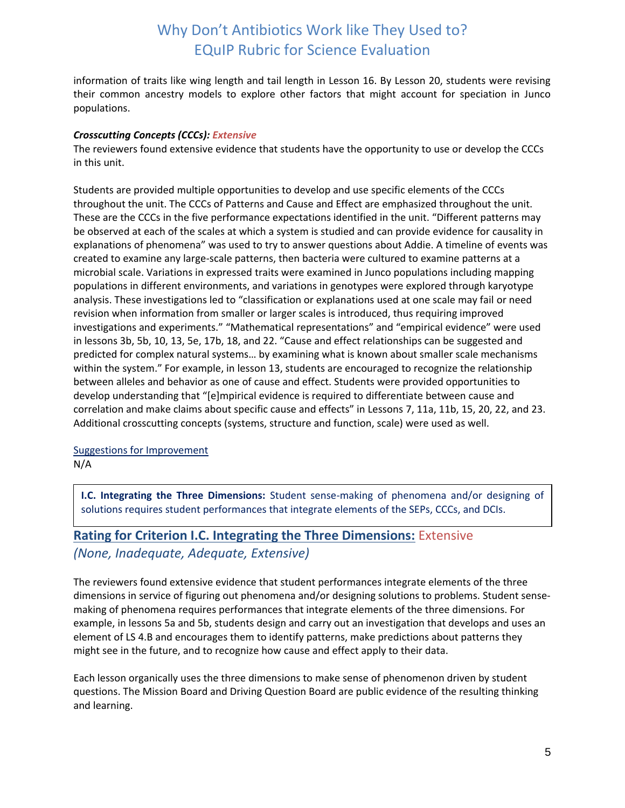information of traits like wing length and tail length in Lesson 16. By Lesson 20, students were revising their common ancestry models to explore other factors that might account for speciation in Junco populations.

### *Crosscutting Concepts (CCCs): Extensive*

The reviewers found extensive evidence that students have the opportunity to use or develop the CCCs in this unit.

Students are provided multiple opportunities to develop and use specific elements of the CCCs throughout the unit. The CCCs of Patterns and Cause and Effect are emphasized throughout the unit. These are the CCCs in the five performance expectations identified in the unit. "Different patterns may be observed at each of the scales at which a system is studied and can provide evidence for causality in explanations of phenomena" was used to try to answer questions about Addie. A timeline of events was created to examine any large-scale patterns, then bacteria were cultured to examine patterns at a microbial scale. Variations in expressed traits were examined in Junco populations including mapping populations in different environments, and variations in genotypes were explored through karyotype analysis. These investigations led to "classification or explanations used at one scale may fail or need revision when information from smaller or larger scales is introduced, thus requiring improved investigations and experiments." "Mathematical representations" and "empirical evidence" were used in lessons 3b, 5b, 10, 13, 5e, 17b, 18, and 22. "Cause and effect relationships can be suggested and predicted for complex natural systems… by examining what is known about smaller scale mechanisms within the system." For example, in lesson 13, students are encouraged to recognize the relationship between alleles and behavior as one of cause and effect. Students were provided opportunities to develop understanding that "[e]mpirical evidence is required to differentiate between cause and correlation and make claims about specific cause and effects" in Lessons 7, 11a, 11b, 15, 20, 22, and 23. Additional crosscutting concepts (systems, structure and function, scale) were used as well.

## Suggestions for Improvement

N/A

**I.C. Integrating the Three Dimensions:** Student sense-making of phenomena and/or designing of solutions requires student performances that integrate elements of the SEPs, CCCs, and DCIs.

## **Rating for Criterion I.C. Integrating the Three Dimensions:** Extensive *(None, Inadequate, Adequate, Extensive)*

The reviewers found extensive evidence that student performances integrate elements of the three dimensions in service of figuring out phenomena and/or designing solutions to problems. Student sensemaking of phenomena requires performances that integrate elements of the three dimensions. For example, in lessons 5a and 5b, students design and carry out an investigation that develops and uses an element of LS 4.B and encourages them to identify patterns, make predictions about patterns they might see in the future, and to recognize how cause and effect apply to their data.

Each lesson organically uses the three dimensions to make sense of phenomenon driven by student questions. The Mission Board and Driving Question Board are public evidence of the resulting thinking and learning.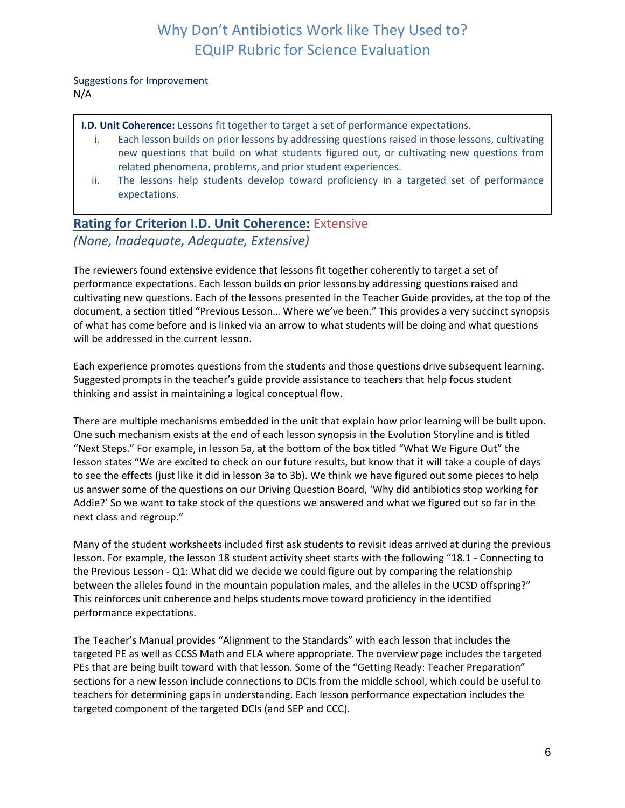Suggestions for Improvement

N/A

**I.D. Unit Coherence:** Lessons fit together to target a set of performance expectations.

- i. Each lesson builds on prior lessons by addressing questions raised in those lessons, cultivating new questions that build on what students figured out, or cultivating new questions from related phenomena, problems, and prior student experiences.
- ii. The lessons help students develop toward proficiency in a targeted set of performance expectations.

## **Rating for Criterion I.D. Unit Coherence:** Extensive *(None, Inadequate, Adequate, Extensive)*

The reviewers found extensive evidence that lessons fit together coherently to target a set of performance expectations. Each lesson builds on prior lessons by addressing questions raised and cultivating new questions. Each of the lessons presented in the Teacher Guide provides, at the top of the document, a section titled "Previous Lesson… Where we've been." This provides a very succinct synopsis of what has come before and is linked via an arrow to what students will be doing and what questions will be addressed in the current lesson.

Each experience promotes questions from the students and those questions drive subsequent learning. Suggested prompts in the teacher's guide provide assistance to teachers that help focus student thinking and assist in maintaining a logical conceptual flow.

There are multiple mechanisms embedded in the unit that explain how prior learning will be built upon. One such mechanism exists at the end of each lesson synopsis in the Evolution Storyline and is titled "Next Steps." For example, in lesson 5a, at the bottom of the box titled "What We Figure Out" the lesson states "We are excited to check on our future results, but know that it will take a couple of days to see the effects (just like it did in lesson 3a to 3b). We think we have figured out some pieces to help us answer some of the questions on our Driving Question Board, 'Why did antibiotics stop working for Addie?' So we want to take stock of the questions we answered and what we figured out so far in the next class and regroup."

Many of the student worksheets included first ask students to revisit ideas arrived at during the previous lesson. For example, the lesson 18 student activity sheet starts with the following "18.1 - Connecting to the Previous Lesson - Q1: What did we decide we could figure out by comparing the relationship between the alleles found in the mountain population males, and the alleles in the UCSD offspring?" This reinforces unit coherence and helps students move toward proficiency in the identified performance expectations.

The Teacher's Manual provides "Alignment to the Standards" with each lesson that includes the targeted PE as well as CCSS Math and ELA where appropriate. The overview page includes the targeted PEs that are being built toward with that lesson. Some of the "Getting Ready: Teacher Preparation" sections for a new lesson include connections to DCIs from the middle school, which could be useful to teachers for determining gaps in understanding. Each lesson performance expectation includes the targeted component of the targeted DCIs (and SEP and CCC).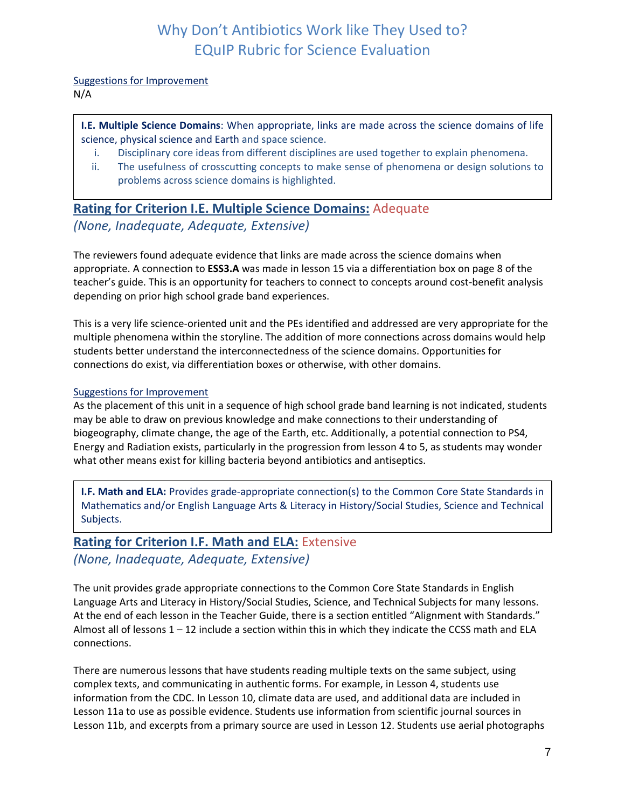### Suggestions for Improvement

N/A

### **I.E. Multiple Science Domains**: When appropriate, links are made across the science domains of life science, physical science and Earth and space science.

- i. Disciplinary core ideas from different disciplines are used together to explain phenomena.
- ii. The usefulness of crosscutting concepts to make sense of phenomena or design solutions to problems across science domains is highlighted.

## **Rating for Criterion I.E. Multiple Science Domains:** Adequate *(None, Inadequate, Adequate, Extensive)*

The reviewers found adequate evidence that links are made across the science domains when appropriate. A connection to **ESS3.A** was made in lesson 15 via a differentiation box on page 8 of the teacher's guide. This is an opportunity for teachers to connect to concepts around cost-benefit analysis depending on prior high school grade band experiences.

This is a very life science-oriented unit and the PEs identified and addressed are very appropriate for the multiple phenomena within the storyline. The addition of more connections across domains would help students better understand the interconnectedness of the science domains. Opportunities for connections do exist, via differentiation boxes or otherwise, with other domains.

### Suggestions for Improvement

As the placement of this unit in a sequence of high school grade band learning is not indicated, students may be able to draw on previous knowledge and make connections to their understanding of biogeography, climate change, the age of the Earth, etc. Additionally, a potential connection to PS4, Energy and Radiation exists, particularly in the progression from lesson 4 to 5, as students may wonder what other means exist for killing bacteria beyond antibiotics and antiseptics.

**I.F. Math and ELA:** Provides grade-appropriate connection(s) to the Common Core State Standards in Mathematics and/or English Language Arts & Literacy in History/Social Studies, Science and Technical Subjects.

## **Rating for Criterion I.F. Math and ELA:** Extensive *(None, Inadequate, Adequate, Extensive)*

The unit provides grade appropriate connections to the Common Core State Standards in English Language Arts and Literacy in History/Social Studies, Science, and Technical Subjects for many lessons. At the end of each lesson in the Teacher Guide, there is a section entitled "Alignment with Standards." Almost all of lessons  $1 - 12$  include a section within this in which they indicate the CCSS math and ELA connections.

There are numerous lessons that have students reading multiple texts on the same subject, using complex texts, and communicating in authentic forms. For example, in Lesson 4, students use information from the CDC. In Lesson 10, climate data are used, and additional data are included in Lesson 11a to use as possible evidence. Students use information from scientific journal sources in Lesson 11b, and excerpts from a primary source are used in Lesson 12. Students use aerial photographs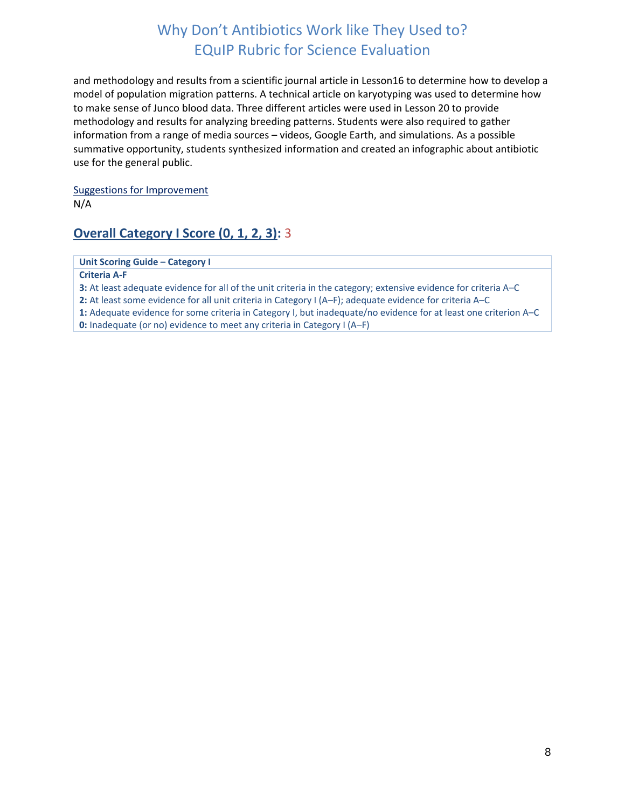and methodology and results from a scientific journal article in Lesson16 to determine how to develop a model of population migration patterns. A technical article on karyotyping was used to determine how to make sense of Junco blood data. Three different articles were used in Lesson 20 to provide methodology and results for analyzing breeding patterns. Students were also required to gather information from a range of media sources – videos, Google Earth, and simulations. As a possible summative opportunity, students synthesized information and created an infographic about antibiotic use for the general public.

Suggestions for Improvement N/A

### **Overall Category I Score (0, 1, 2, 3):** 3

**Unit Scoring Guide – Category I**

**Criteria A-F**

**3:** At least adequate evidence for all of the unit criteria in the category; extensive evidence for criteria A–C

**2:** At least some evidence for all unit criteria in Category I (A–F); adequate evidence for criteria A–C

**1:** Adequate evidence for some criteria in Category I, but inadequate/no evidence for at least one criterion A–C

<span id="page-7-0"></span>**0:** Inadequate (or no) evidence to meet any criteria in Category I (A–F)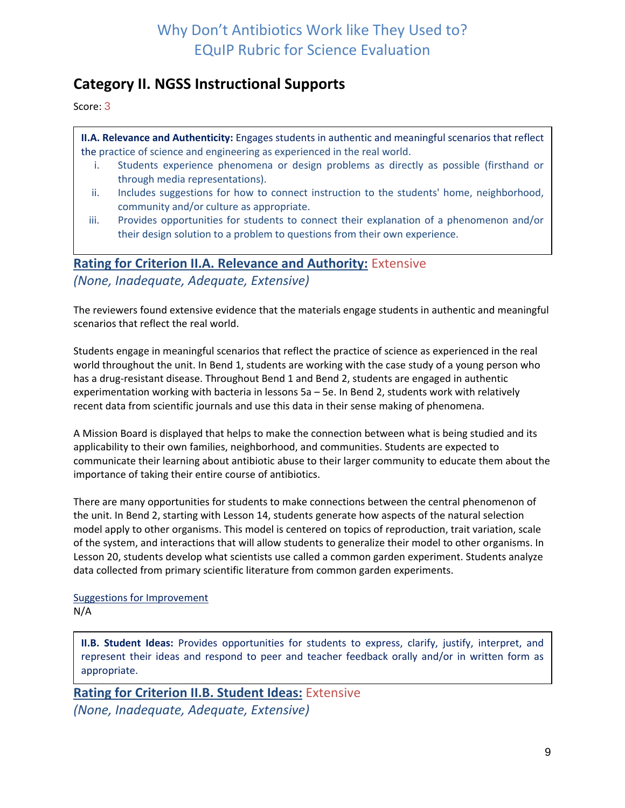# **Category II. NGSS Instructional Supports**

Score: 3

**II.A. Relevance and Authenticity:** Engages students in authentic and meaningful scenarios that reflect the practice of science and engineering as experienced in the real world.

- i. Students experience phenomena or design problems as directly as possible (firsthand or through media representations).
- ii. Includes suggestions for how to connect instruction to the students' home, neighborhood, community and/or culture as appropriate.
- iii. Provides opportunities for students to connect their explanation of a phenomenon and/or their design solution to a problem to questions from their own experience.

### **Rating for Criterion II.A. Relevance and Authority:** Extensive

*(None, Inadequate, Adequate, Extensive)*

The reviewers found extensive evidence that the materials engage students in authentic and meaningful scenarios that reflect the real world.

Students engage in meaningful scenarios that reflect the practice of science as experienced in the real world throughout the unit. In Bend 1, students are working with the case study of a young person who has a drug-resistant disease. Throughout Bend 1 and Bend 2, students are engaged in authentic experimentation working with bacteria in lessons 5a – 5e. In Bend 2, students work with relatively recent data from scientific journals and use this data in their sense making of phenomena.

A Mission Board is displayed that helps to make the connection between what is being studied and its applicability to their own families, neighborhood, and communities. Students are expected to communicate their learning about antibiotic abuse to their larger community to educate them about the importance of taking their entire course of antibiotics.

There are many opportunities for students to make connections between the central phenomenon of the unit. In Bend 2, starting with Lesson 14, students generate how aspects of the natural selection model apply to other organisms. This model is centered on topics of reproduction, trait variation, scale of the system, and interactions that will allow students to generalize their model to other organisms. In Lesson 20, students develop what scientists use called a common garden experiment. Students analyze data collected from primary scientific literature from common garden experiments.

Suggestions for Improvement N/A

**II.B. Student Ideas:** Provides opportunities for students to express, clarify, justify, interpret, and represent their ideas and respond to peer and teacher feedback orally and/or in written form as appropriate.

**Rating for Criterion II.B. Student Ideas:** Extensive

*(None, Inadequate, Adequate, Extensive)*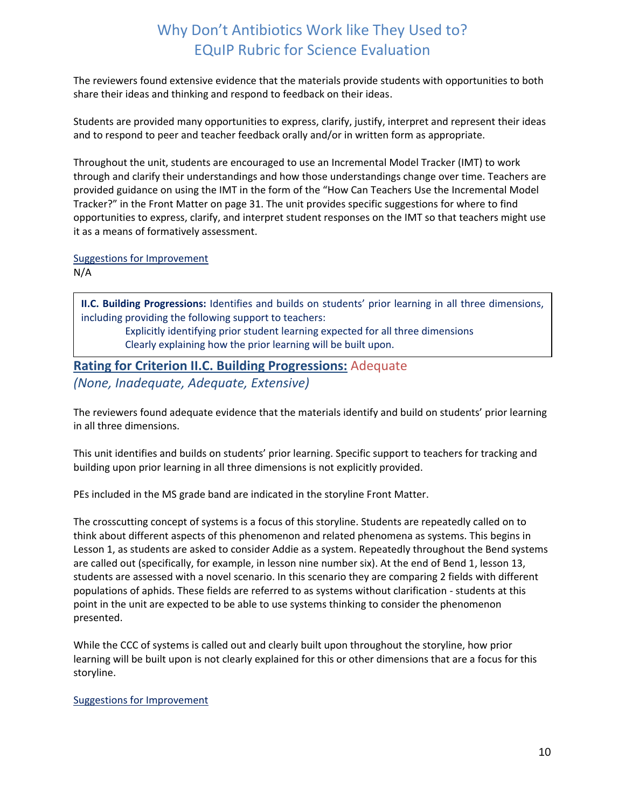The reviewers found extensive evidence that the materials provide students with opportunities to both share their ideas and thinking and respond to feedback on their ideas.

Students are provided many opportunities to express, clarify, justify, interpret and represent their ideas and to respond to peer and teacher feedback orally and/or in written form as appropriate.

Throughout the unit, students are encouraged to use an Incremental Model Tracker (IMT) to work through and clarify their understandings and how those understandings change over time. Teachers are provided guidance on using the IMT in the form of the "How Can Teachers Use the Incremental Model Tracker?" in the Front Matter on page 31. The unit provides specific suggestions for where to find opportunities to express, clarify, and interpret student responses on the IMT so that teachers might use it as a means of formatively assessment.

### Suggestions for Improvement

N/A

**II.C. Building Progressions:** Identifies and builds on students' prior learning in all three dimensions, including providing the following support to teachers:

Explicitly identifying prior student learning expected for all three dimensions Clearly explaining how the prior learning will be built upon.

## **Rating for Criterion II.C. Building Progressions:** Adequate *(None, Inadequate, Adequate, Extensive)*

The reviewers found adequate evidence that the materials identify and build on students' prior learning in all three dimensions.

This unit identifies and builds on students' prior learning. Specific support to teachers for tracking and building upon prior learning in all three dimensions is not explicitly provided.

PEs included in the MS grade band are indicated in the storyline Front Matter.

The crosscutting concept of systems is a focus of this storyline. Students are repeatedly called on to think about different aspects of this phenomenon and related phenomena as systems. This begins in Lesson 1, as students are asked to consider Addie as a system. Repeatedly throughout the Bend systems are called out (specifically, for example, in lesson nine number six). At the end of Bend 1, lesson 13, students are assessed with a novel scenario. In this scenario they are comparing 2 fields with different populations of aphids. These fields are referred to as systems without clarification - students at this point in the unit are expected to be able to use systems thinking to consider the phenomenon presented.

While the CCC of systems is called out and clearly built upon throughout the storyline, how prior learning will be built upon is not clearly explained for this or other dimensions that are a focus for this storyline.

### Suggestions for Improvement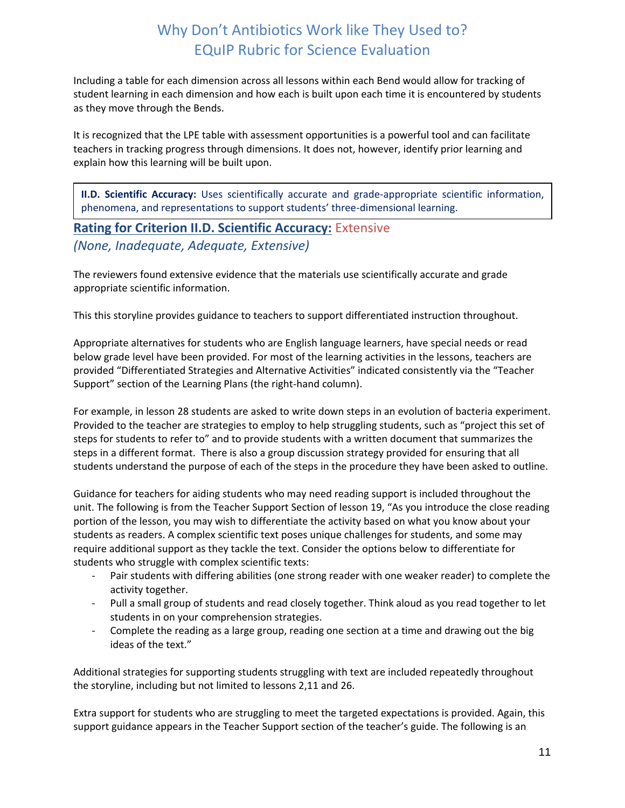Including a table for each dimension across all lessons within each Bend would allow for tracking of student learning in each dimension and how each is built upon each time it is encountered by students as they move through the Bends.

It is recognized that the LPE table with assessment opportunities is a powerful tool and can facilitate teachers in tracking progress through dimensions. It does not, however, identify prior learning and explain how this learning will be built upon.

**II.D. Scientific Accuracy:** Uses scientifically accurate and grade-appropriate scientific information, phenomena, and representations to support students' three-dimensional learning.

## **Rating for Criterion II.D. Scientific Accuracy:** Extensive *(None, Inadequate, Adequate, Extensive)*

The reviewers found extensive evidence that the materials use scientifically accurate and grade appropriate scientific information.

This this storyline provides guidance to teachers to support differentiated instruction throughout.

Appropriate alternatives for students who are English language learners, have special needs or read below grade level have been provided. For most of the learning activities in the lessons, teachers are provided "Differentiated Strategies and Alternative Activities" indicated consistently via the "Teacher Support" section of the Learning Plans (the right-hand column).

For example, in lesson 28 students are asked to write down steps in an evolution of bacteria experiment. Provided to the teacher are strategies to employ to help struggling students, such as "project this set of steps for students to refer to" and to provide students with a written document that summarizes the steps in a different format. There is also a group discussion strategy provided for ensuring that all students understand the purpose of each of the steps in the procedure they have been asked to outline.

Guidance for teachers for aiding students who may need reading support is included throughout the unit. The following is from the Teacher Support Section of lesson 19, "As you introduce the close reading portion of the lesson, you may wish to differentiate the activity based on what you know about your students as readers. A complex scientific text poses unique challenges for students, and some may require additional support as they tackle the text. Consider the options below to differentiate for students who struggle with complex scientific texts:

- Pair students with differing abilities (one strong reader with one weaker reader) to complete the activity together.
- Pull a small group of students and read closely together. Think aloud as you read together to let students in on your comprehension strategies.
- Complete the reading as a large group, reading one section at a time and drawing out the big ideas of the text."

Additional strategies for supporting students struggling with text are included repeatedly throughout the storyline, including but not limited to lessons 2,11 and 26.

Extra support for students who are struggling to meet the targeted expectations is provided. Again, this support guidance appears in the Teacher Support section of the teacher's guide. The following is an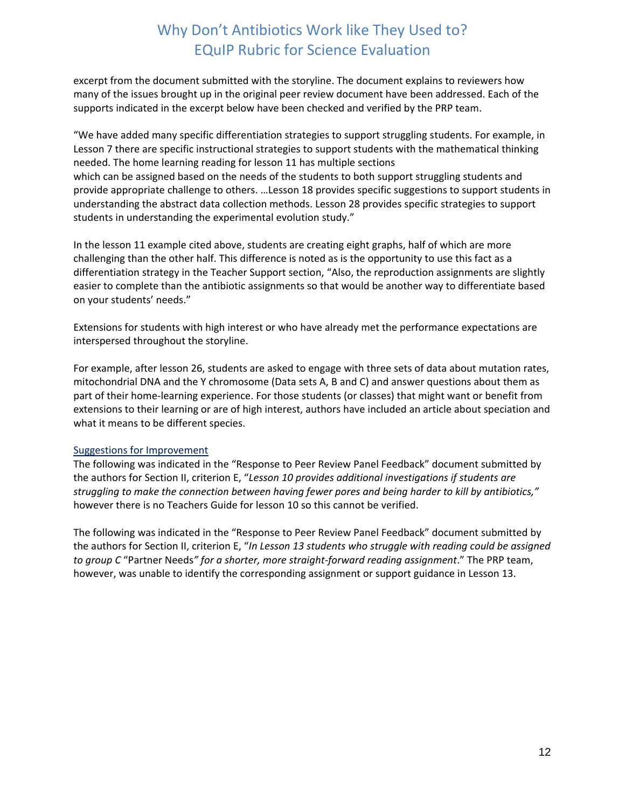excerpt from the document submitted with the storyline. The document explains to reviewers how many of the issues brought up in the original peer review document have been addressed. Each of the supports indicated in the excerpt below have been checked and verified by the PRP team.

"We have added many specific differentiation strategies to support struggling students. For example, in Lesson 7 there are specific instructional strategies to support students with the mathematical thinking needed. The home learning reading for lesson 11 has multiple sections which can be assigned based on the needs of the students to both support struggling students and provide appropriate challenge to others. …Lesson 18 provides specific suggestions to support students in understanding the abstract data collection methods. Lesson 28 provides specific strategies to support students in understanding the experimental evolution study."

In the lesson 11 example cited above, students are creating eight graphs, half of which are more challenging than the other half. This difference is noted as is the opportunity to use this fact as a differentiation strategy in the Teacher Support section, "Also, the reproduction assignments are slightly easier to complete than the antibiotic assignments so that would be another way to differentiate based on your students' needs."

Extensions for students with high interest or who have already met the performance expectations are interspersed throughout the storyline.

For example, after lesson 26, students are asked to engage with three sets of data about mutation rates, mitochondrial DNA and the Y chromosome (Data sets A, B and C) and answer questions about them as part of their home-learning experience. For those students (or classes) that might want or benefit from extensions to their learning or are of high interest, authors have included an article about speciation and what it means to be different species.

### Suggestions for Improvement

The following was indicated in the "Response to Peer Review Panel Feedback" document submitted by the authors for Section II, criterion E, "*Lesson 10 provides additional investigations if students are struggling to make the connection between having fewer pores and being harder to kill by antibiotics,"*  however there is no Teachers Guide for lesson 10 so this cannot be verified.

The following was indicated in the "Response to Peer Review Panel Feedback" document submitted by the authors for Section II, criterion E, "*In Lesson 13 students who struggle with reading could be assigned to group C* "Partner Needs*" for a shorter, more straight-forward reading assignment*." The PRP team, however, was unable to identify the corresponding assignment or support guidance in Lesson 13.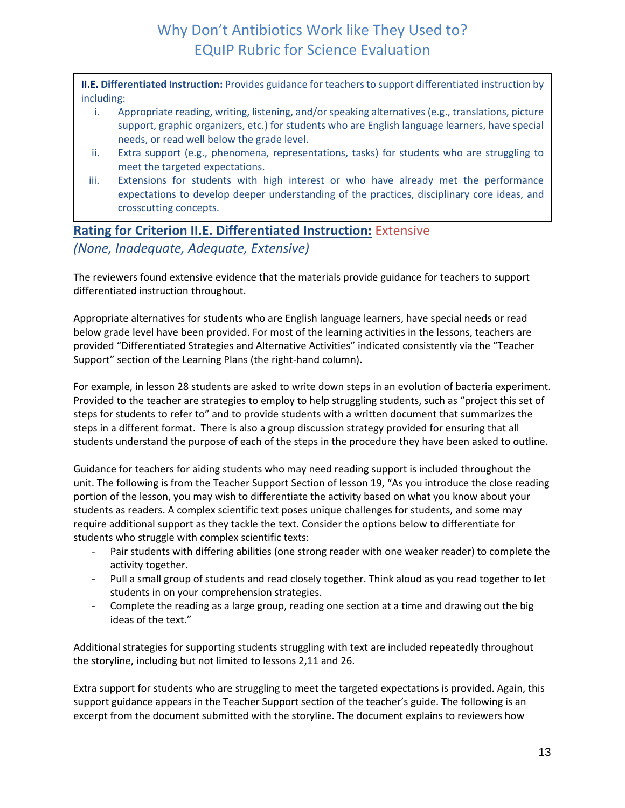**II.E. Differentiated Instruction:** Provides guidance for teachers to support differentiated instruction by including:

- i. Appropriate reading, writing, listening, and/or speaking alternatives (e.g., translations, picture support, graphic organizers, etc.) for students who are English language learners, have special needs, or read well below the grade level.
- ii. Extra support (e.g., phenomena, representations, tasks) for students who are struggling to meet the targeted expectations.
- iii. Extensions for students with high interest or who have already met the performance expectations to develop deeper understanding of the practices, disciplinary core ideas, and crosscutting concepts.

## **Rating for Criterion II.E. Differentiated Instruction:** Extensive *(None, Inadequate, Adequate, Extensive)*

The reviewers found extensive evidence that the materials provide guidance for teachers to support differentiated instruction throughout.

Appropriate alternatives for students who are English language learners, have special needs or read below grade level have been provided. For most of the learning activities in the lessons, teachers are provided "Differentiated Strategies and Alternative Activities" indicated consistently via the "Teacher Support" section of the Learning Plans (the right-hand column).

For example, in lesson 28 students are asked to write down steps in an evolution of bacteria experiment. Provided to the teacher are strategies to employ to help struggling students, such as "project this set of steps for students to refer to" and to provide students with a written document that summarizes the steps in a different format. There is also a group discussion strategy provided for ensuring that all students understand the purpose of each of the steps in the procedure they have been asked to outline.

Guidance for teachers for aiding students who may need reading support is included throughout the unit. The following is from the Teacher Support Section of lesson 19, "As you introduce the close reading portion of the lesson, you may wish to differentiate the activity based on what you know about your students as readers. A complex scientific text poses unique challenges for students, and some may require additional support as they tackle the text. Consider the options below to differentiate for students who struggle with complex scientific texts:

- Pair students with differing abilities (one strong reader with one weaker reader) to complete the activity together.
- Pull a small group of students and read closely together. Think aloud as you read together to let students in on your comprehension strategies.
- Complete the reading as a large group, reading one section at a time and drawing out the big ideas of the text."

Additional strategies for supporting students struggling with text are included repeatedly throughout the storyline, including but not limited to lessons 2,11 and 26.

Extra support for students who are struggling to meet the targeted expectations is provided. Again, this support guidance appears in the Teacher Support section of the teacher's guide. The following is an excerpt from the document submitted with the storyline. The document explains to reviewers how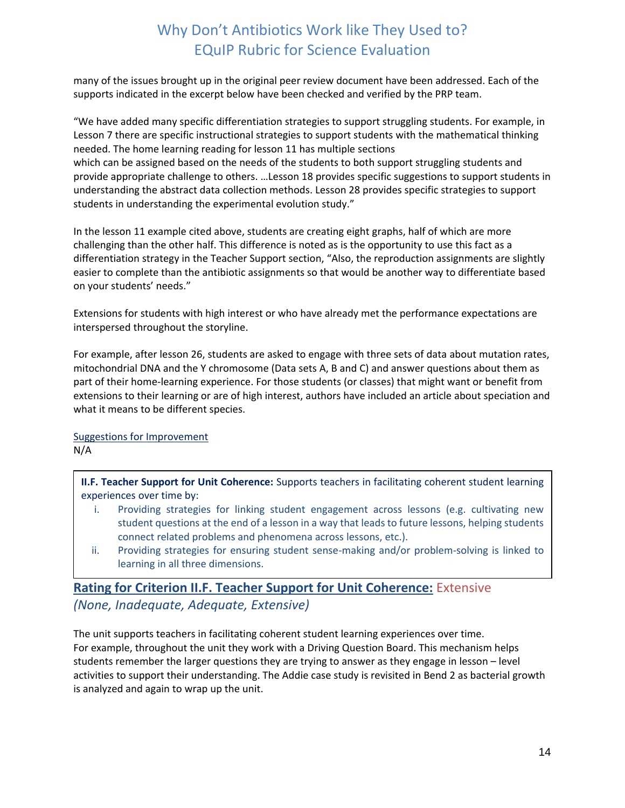many of the issues brought up in the original peer review document have been addressed. Each of the supports indicated in the excerpt below have been checked and verified by the PRP team.

"We have added many specific differentiation strategies to support struggling students. For example, in Lesson 7 there are specific instructional strategies to support students with the mathematical thinking needed. The home learning reading for lesson 11 has multiple sections which can be assigned based on the needs of the students to both support struggling students and provide appropriate challenge to others. …Lesson 18 provides specific suggestions to support students in understanding the abstract data collection methods. Lesson 28 provides specific strategies to support students in understanding the experimental evolution study."

In the lesson 11 example cited above, students are creating eight graphs, half of which are more challenging than the other half. This difference is noted as is the opportunity to use this fact as a differentiation strategy in the Teacher Support section, "Also, the reproduction assignments are slightly easier to complete than the antibiotic assignments so that would be another way to differentiate based on your students' needs."

Extensions for students with high interest or who have already met the performance expectations are interspersed throughout the storyline.

For example, after lesson 26, students are asked to engage with three sets of data about mutation rates, mitochondrial DNA and the Y chromosome (Data sets A, B and C) and answer questions about them as part of their home-learning experience. For those students (or classes) that might want or benefit from extensions to their learning or are of high interest, authors have included an article about speciation and what it means to be different species.

Suggestions for Improvement

N/A

**II.F. Teacher Support for Unit Coherence:** Supports teachers in facilitating coherent student learning experiences over time by:

- i. Providing strategies for linking student engagement across lessons (e.g. cultivating new student questions at the end of a lesson in a way that leads to future lessons, helping students connect related problems and phenomena across lessons, etc.).
- ii. Providing strategies for ensuring student sense-making and/or problem-solving is linked to learning in all three dimensions.

## **Rating for Criterion II.F. Teacher Support for Unit Coherence:** Extensive *(None, Inadequate, Adequate, Extensive)*

The unit supports teachers in facilitating coherent student learning experiences over time. For example, throughout the unit they work with a Driving Question Board. This mechanism helps students remember the larger questions they are trying to answer as they engage in lesson – level activities to support their understanding. The Addie case study is revisited in Bend 2 as bacterial growth is analyzed and again to wrap up the unit.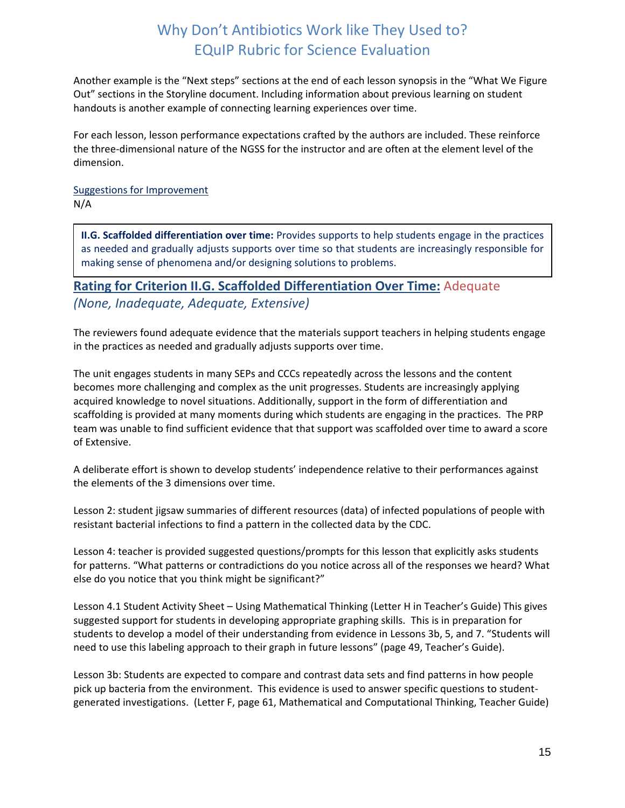Another example is the "Next steps" sections at the end of each lesson synopsis in the "What We Figure Out" sections in the Storyline document. Including information about previous learning on student handouts is another example of connecting learning experiences over time.

For each lesson, lesson performance expectations crafted by the authors are included. These reinforce the three-dimensional nature of the NGSS for the instructor and are often at the element level of the dimension.

Suggestions for Improvement N/A

**II.G. Scaffolded differentiation over time:** Provides supports to help students engage in the practices as needed and gradually adjusts supports over time so that students are increasingly responsible for making sense of phenomena and/or designing solutions to problems.

**Rating for Criterion II.G. Scaffolded Differentiation Over Time:** Adequate *(None, Inadequate, Adequate, Extensive)*

The reviewers found adequate evidence that the materials support teachers in helping students engage in the practices as needed and gradually adjusts supports over time.

The unit engages students in many SEPs and CCCs repeatedly across the lessons and the content becomes more challenging and complex as the unit progresses. Students are increasingly applying acquired knowledge to novel situations. Additionally, support in the form of differentiation and scaffolding is provided at many moments during which students are engaging in the practices. The PRP team was unable to find sufficient evidence that that support was scaffolded over time to award a score of Extensive.

A deliberate effort is shown to develop students' independence relative to their performances against the elements of the 3 dimensions over time.

Lesson 2: student jigsaw summaries of different resources (data) of infected populations of people with resistant bacterial infections to find a pattern in the collected data by the CDC.

Lesson 4: teacher is provided suggested questions/prompts for this lesson that explicitly asks students for patterns. "What patterns or contradictions do you notice across all of the responses we heard? What else do you notice that you think might be significant?"

Lesson 4.1 Student Activity Sheet – Using Mathematical Thinking (Letter H in Teacher's Guide) This gives suggested support for students in developing appropriate graphing skills. This is in preparation for students to develop a model of their understanding from evidence in Lessons 3b, 5, and 7. "Students will need to use this labeling approach to their graph in future lessons" (page 49, Teacher's Guide).

Lesson 3b: Students are expected to compare and contrast data sets and find patterns in how people pick up bacteria from the environment. This evidence is used to answer specific questions to studentgenerated investigations. (Letter F, page 61, Mathematical and Computational Thinking, Teacher Guide)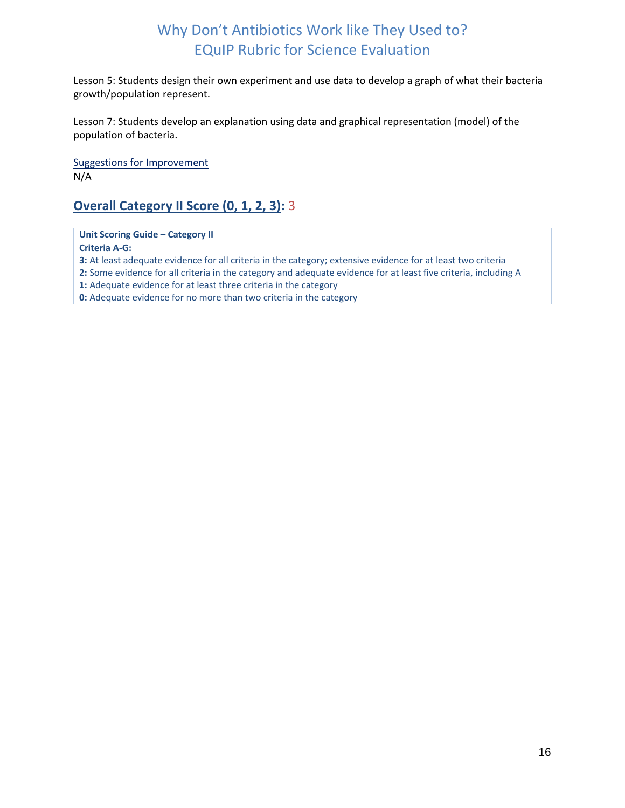Lesson 5: Students design their own experiment and use data to develop a graph of what their bacteria growth/population represent.

Lesson 7: Students develop an explanation using data and graphical representation (model) of the population of bacteria.

Suggestions for Improvement N/A

## **Overall Category II Score (0, 1, 2, 3):** 3

**Unit Scoring Guide – Category II**

**Criteria A‐G:**

**3:** At least adequate evidence for all criteria in the category; extensive evidence for at least two criteria

**2:** Some evidence for all criteria in the category and adequate evidence for at least five criteria, including A

**1:** Adequate evidence for at least three criteria in the category

**0:** Adequate evidence for no more than two criteria in the category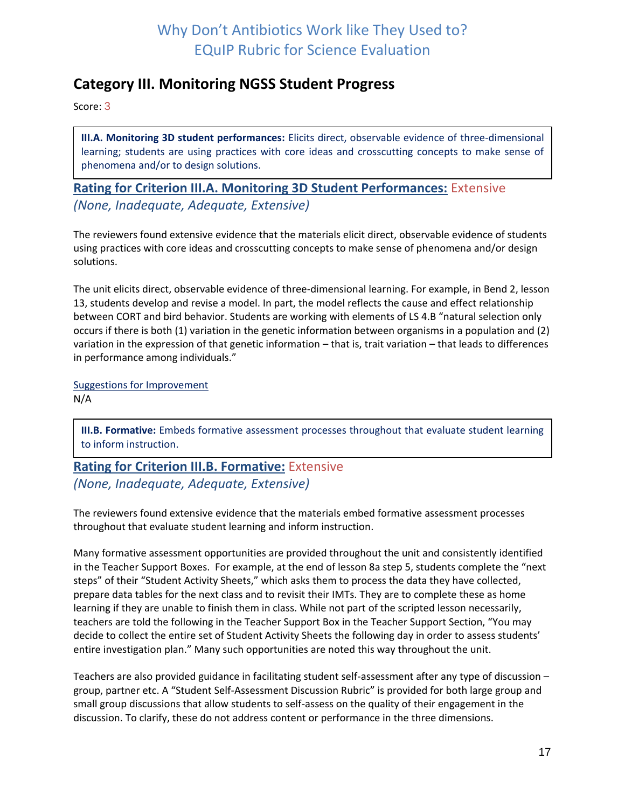## <span id="page-16-0"></span>**Category III. Monitoring NGSS Student Progress**

Score: 3

**III.A. Monitoring 3D student performances:** Elicits direct, observable evidence of three-dimensional learning; students are using practices with core ideas and crosscutting concepts to make sense of phenomena and/or to design solutions.

**Rating for Criterion III.A. Monitoring 3D Student Performances:** Extensive *(None, Inadequate, Adequate, Extensive)*

The reviewers found extensive evidence that the materials elicit direct, observable evidence of students using practices with core ideas and crosscutting concepts to make sense of phenomena and/or design solutions.

The unit elicits direct, observable evidence of three-dimensional learning. For example, in Bend 2, lesson 13, students develop and revise a model. In part, the model reflects the cause and effect relationship between CORT and bird behavior. Students are working with elements of LS 4.B "natural selection only occurs if there is both (1) variation in the genetic information between organisms in a population and (2) variation in the expression of that genetic information – that is, trait variation – that leads to differences in performance among individuals."

Suggestions for Improvement N/A

**III.B. Formative:** Embeds formative assessment processes throughout that evaluate student learning to inform instruction.

# **Rating for Criterion III.B. Formative:** Extensive

*(None, Inadequate, Adequate, Extensive)*

The reviewers found extensive evidence that the materials embed formative assessment processes throughout that evaluate student learning and inform instruction.

Many formative assessment opportunities are provided throughout the unit and consistently identified in the Teacher Support Boxes. For example, at the end of lesson 8a step 5, students complete the "next steps" of their "Student Activity Sheets," which asks them to process the data they have collected, prepare data tables for the next class and to revisit their IMTs. They are to complete these as home learning if they are unable to finish them in class. While not part of the scripted lesson necessarily, teachers are told the following in the Teacher Support Box in the Teacher Support Section, "You may decide to collect the entire set of Student Activity Sheets the following day in order to assess students' entire investigation plan." Many such opportunities are noted this way throughout the unit.

Teachers are also provided guidance in facilitating student self-assessment after any type of discussion – group, partner etc. A "Student Self-Assessment Discussion Rubric" is provided for both large group and small group discussions that allow students to self-assess on the quality of their engagement in the discussion. To clarify, these do not address content or performance in the three dimensions.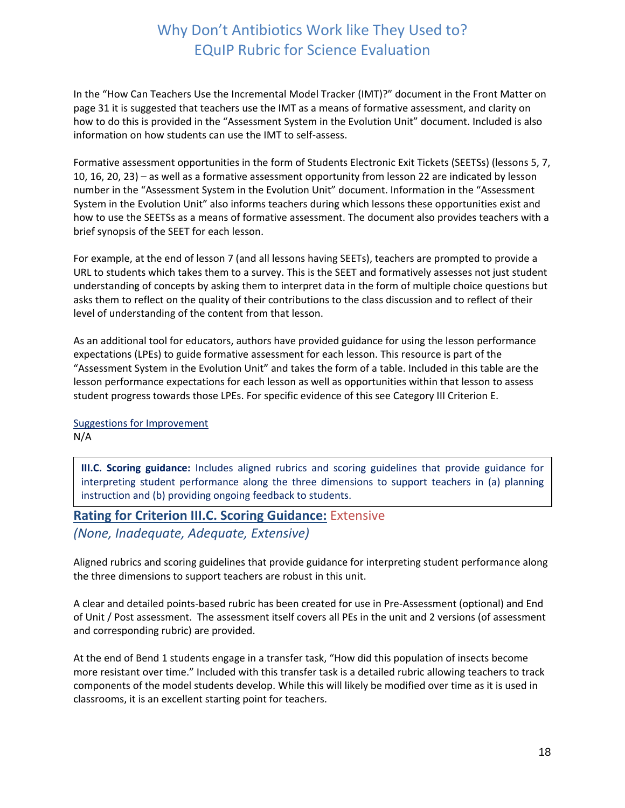In the "How Can Teachers Use the Incremental Model Tracker (IMT)?" document in the Front Matter on page 31 it is suggested that teachers use the IMT as a means of formative assessment, and clarity on how to do this is provided in the "Assessment System in the Evolution Unit" document. Included is also information on how students can use the IMT to self-assess.

Formative assessment opportunities in the form of Students Electronic Exit Tickets (SEETSs) (lessons 5, 7, 10, 16, 20, 23) – as well as a formative assessment opportunity from lesson 22 are indicated by lesson number in the "Assessment System in the Evolution Unit" document. Information in the "Assessment System in the Evolution Unit" also informs teachers during which lessons these opportunities exist and how to use the SEETSs as a means of formative assessment. The document also provides teachers with a brief synopsis of the SEET for each lesson.

For example, at the end of lesson 7 (and all lessons having SEETs), teachers are prompted to provide a URL to students which takes them to a survey. This is the SEET and formatively assesses not just student understanding of concepts by asking them to interpret data in the form of multiple choice questions but asks them to reflect on the quality of their contributions to the class discussion and to reflect of their level of understanding of the content from that lesson.

As an additional tool for educators, authors have provided guidance for using the lesson performance expectations (LPEs) to guide formative assessment for each lesson. This resource is part of the "Assessment System in the Evolution Unit" and takes the form of a table. Included in this table are the lesson performance expectations for each lesson as well as opportunities within that lesson to assess student progress towards those LPEs. For specific evidence of this see Category III Criterion E.

Suggestions for Improvement N/A

**III.C. Scoring guidance:** Includes aligned rubrics and scoring guidelines that provide guidance for interpreting student performance along the three dimensions to support teachers in (a) planning instruction and (b) providing ongoing feedback to students.

### **Rating for Criterion III.C. Scoring Guidance:** Extensive

*(None, Inadequate, Adequate, Extensive)*

Aligned rubrics and scoring guidelines that provide guidance for interpreting student performance along the three dimensions to support teachers are robust in this unit.

A clear and detailed points-based rubric has been created for use in Pre-Assessment (optional) and End of Unit / Post assessment. The assessment itself covers all PEs in the unit and 2 versions (of assessment and corresponding rubric) are provided.

At the end of Bend 1 students engage in a transfer task, "How did this population of insects become more resistant over time." Included with this transfer task is a detailed rubric allowing teachers to track components of the model students develop. While this will likely be modified over time as it is used in classrooms, it is an excellent starting point for teachers.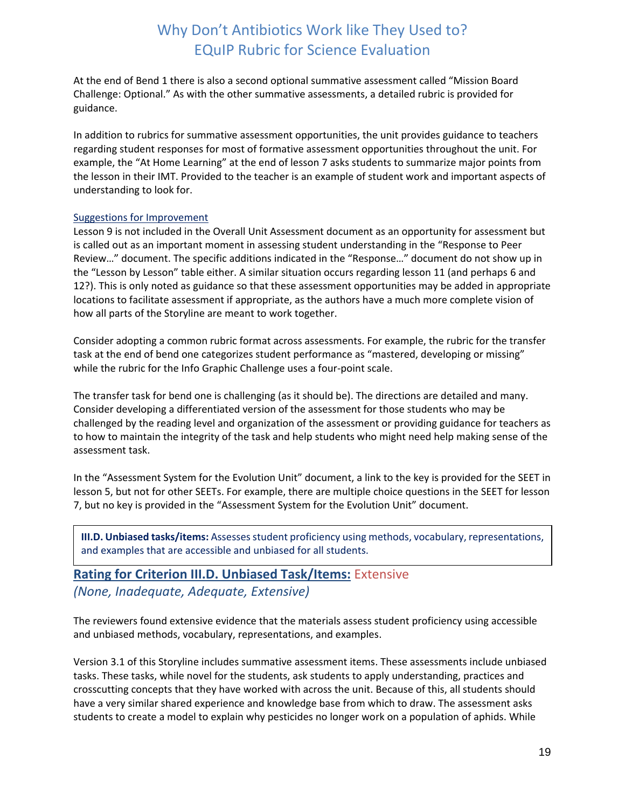At the end of Bend 1 there is also a second optional summative assessment called "Mission Board Challenge: Optional." As with the other summative assessments, a detailed rubric is provided for guidance.

In addition to rubrics for summative assessment opportunities, the unit provides guidance to teachers regarding student responses for most of formative assessment opportunities throughout the unit. For example, the "At Home Learning" at the end of lesson 7 asks students to summarize major points from the lesson in their IMT. Provided to the teacher is an example of student work and important aspects of understanding to look for.

#### Suggestions for Improvement

Lesson 9 is not included in the Overall Unit Assessment document as an opportunity for assessment but is called out as an important moment in assessing student understanding in the "Response to Peer Review…" document. The specific additions indicated in the "Response…" document do not show up in the "Lesson by Lesson" table either. A similar situation occurs regarding lesson 11 (and perhaps 6 and 12?). This is only noted as guidance so that these assessment opportunities may be added in appropriate locations to facilitate assessment if appropriate, as the authors have a much more complete vision of how all parts of the Storyline are meant to work together.

Consider adopting a common rubric format across assessments. For example, the rubric for the transfer task at the end of bend one categorizes student performance as "mastered, developing or missing" while the rubric for the Info Graphic Challenge uses a four-point scale.

The transfer task for bend one is challenging (as it should be). The directions are detailed and many. Consider developing a differentiated version of the assessment for those students who may be challenged by the reading level and organization of the assessment or providing guidance for teachers as to how to maintain the integrity of the task and help students who might need help making sense of the assessment task.

In the "Assessment System for the Evolution Unit" document, a link to the key is provided for the SEET in lesson 5, but not for other SEETs. For example, there are multiple choice questions in the SEET for lesson 7, but no key is provided in the "Assessment System for the Evolution Unit" document.

**III.D. Unbiased tasks/items:** Assesses student proficiency using methods, vocabulary, representations, and examples that are accessible and unbiased for all students.

### **Rating for Criterion III.D. Unbiased Task/Items:** Extensive *(None, Inadequate, Adequate, Extensive)*

The reviewers found extensive evidence that the materials assess student proficiency using accessible and unbiased methods, vocabulary, representations, and examples.

Version 3.1 of this Storyline includes summative assessment items. These assessments include unbiased tasks. These tasks, while novel for the students, ask students to apply understanding, practices and crosscutting concepts that they have worked with across the unit. Because of this, all students should have a very similar shared experience and knowledge base from which to draw. The assessment asks students to create a model to explain why pesticides no longer work on a population of aphids. While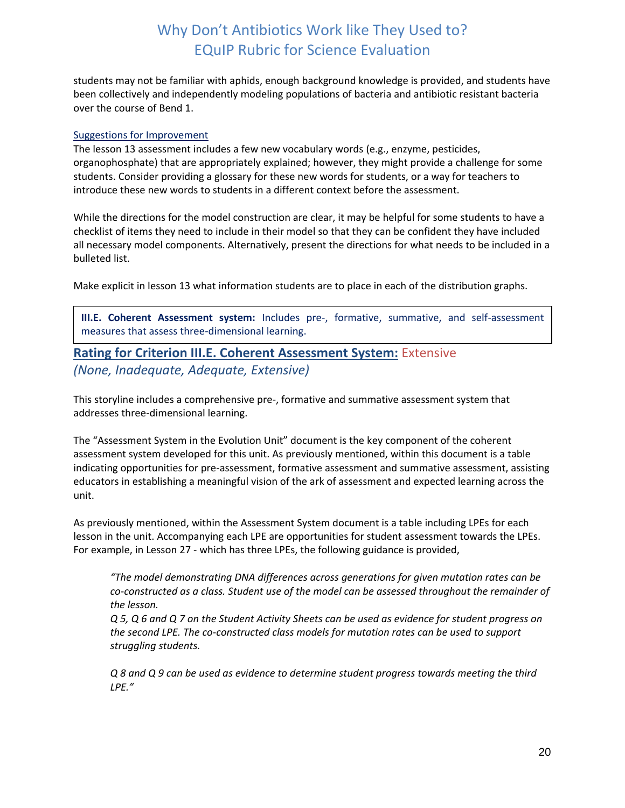students may not be familiar with aphids, enough background knowledge is provided, and students have been collectively and independently modeling populations of bacteria and antibiotic resistant bacteria over the course of Bend 1.

#### Suggestions for Improvement

The lesson 13 assessment includes a few new vocabulary words (e.g., enzyme, pesticides, organophosphate) that are appropriately explained; however, they might provide a challenge for some students. Consider providing a glossary for these new words for students, or a way for teachers to introduce these new words to students in a different context before the assessment.

While the directions for the model construction are clear, it may be helpful for some students to have a checklist of items they need to include in their model so that they can be confident they have included all necessary model components. Alternatively, present the directions for what needs to be included in a bulleted list.

Make explicit in lesson 13 what information students are to place in each of the distribution graphs.

**III.E. Coherent Assessment system:** Includes pre-, formative, summative, and self-assessment measures that assess three-dimensional learning.

### **Rating for Criterion III.E. Coherent Assessment System:** Extensive *(None, Inadequate, Adequate, Extensive)*

This storyline includes a comprehensive pre-, formative and summative assessment system that addresses three-dimensional learning.

The "Assessment System in the Evolution Unit" document is the key component of the coherent assessment system developed for this unit. As previously mentioned, within this document is a table indicating opportunities for pre-assessment, formative assessment and summative assessment, assisting educators in establishing a meaningful vision of the ark of assessment and expected learning across the unit.

As previously mentioned, within the Assessment System document is a table including LPEs for each lesson in the unit. Accompanying each LPE are opportunities for student assessment towards the LPEs. For example, in Lesson 27 - which has three LPEs, the following guidance is provided,

*"The model demonstrating DNA differences across generations for given mutation rates can be co-constructed as a class. Student use of the model can be assessed throughout the remainder of the lesson.*

*Q 5, Q 6 and Q 7 on the Student Activity Sheets can be used as evidence for student progress on the second LPE. The co-constructed class models for mutation rates can be used to support struggling students.*

*Q 8 and Q 9 can be used as evidence to determine student progress towards meeting the third LPE."*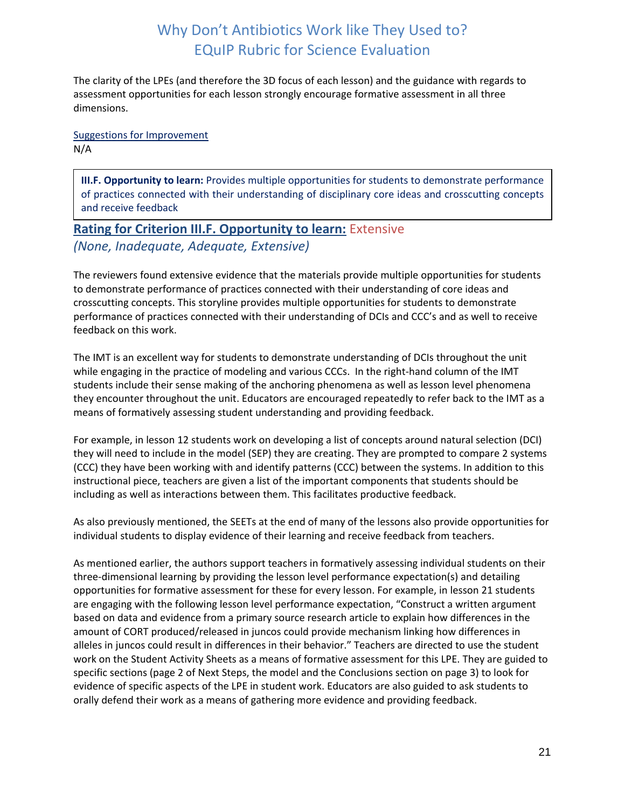The clarity of the LPEs (and therefore the 3D focus of each lesson) and the guidance with regards to assessment opportunities for each lesson strongly encourage formative assessment in all three dimensions.

Suggestions for Improvement N/A

**III.F. Opportunity to learn:** Provides multiple opportunities for students to demonstrate performance of practices connected with their understanding of disciplinary core ideas and crosscutting concepts and receive feedback

## **Rating for Criterion III.F. Opportunity to learn:** Extensive *(None, Inadequate, Adequate, Extensive)*

The reviewers found extensive evidence that the materials provide multiple opportunities for students to demonstrate performance of practices connected with their understanding of core ideas and crosscutting concepts. This storyline provides multiple opportunities for students to demonstrate performance of practices connected with their understanding of DCIs and CCC's and as well to receive feedback on this work.

The IMT is an excellent way for students to demonstrate understanding of DCIs throughout the unit while engaging in the practice of modeling and various CCCs. In the right-hand column of the IMT students include their sense making of the anchoring phenomena as well as lesson level phenomena they encounter throughout the unit. Educators are encouraged repeatedly to refer back to the IMT as a means of formatively assessing student understanding and providing feedback.

For example, in lesson 12 students work on developing a list of concepts around natural selection (DCI) they will need to include in the model (SEP) they are creating. They are prompted to compare 2 systems (CCC) they have been working with and identify patterns (CCC) between the systems. In addition to this instructional piece, teachers are given a list of the important components that students should be including as well as interactions between them. This facilitates productive feedback.

As also previously mentioned, the SEETs at the end of many of the lessons also provide opportunities for individual students to display evidence of their learning and receive feedback from teachers.

As mentioned earlier, the authors support teachers in formatively assessing individual students on their three-dimensional learning by providing the lesson level performance expectation(s) and detailing opportunities for formative assessment for these for every lesson. For example, in lesson 21 students are engaging with the following lesson level performance expectation, "Construct a written argument based on data and evidence from a primary source research article to explain how differences in the amount of CORT produced/released in juncos could provide mechanism linking how differences in alleles in juncos could result in differences in their behavior." Teachers are directed to use the student work on the Student Activity Sheets as a means of formative assessment for this LPE. They are guided to specific sections (page 2 of Next Steps, the model and the Conclusions section on page 3) to look for evidence of specific aspects of the LPE in student work. Educators are also guided to ask students to orally defend their work as a means of gathering more evidence and providing feedback.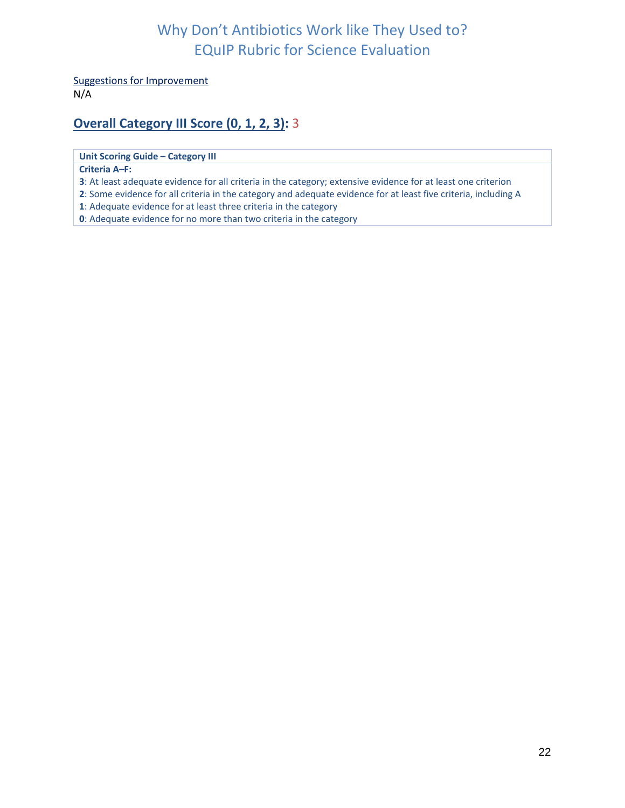Suggestions for Improvement

N/A

## **Overall Category III Score (0, 1, 2, 3):** 3

**Unit Scoring Guide – Category III**

#### **Criteria A***–***F:**

**3**: At least adequate evidence for all criteria in the category; extensive evidence for at least one criterion

**2**: Some evidence for all criteria in the category and adequate evidence for at least five criteria, including A

**1**: Adequate evidence for at least three criteria in the category

<span id="page-21-0"></span>**0**: Adequate evidence for no more than two criteria in the category